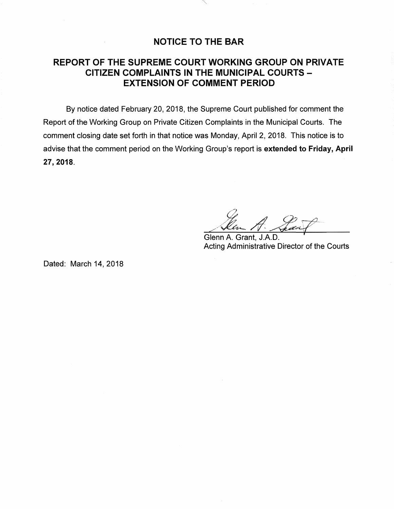## **NOTICE TO THE BAR**

## **REPORT OF THE SUPREME COURT WORKING GROUP ON PRIVATE CITIZEN COMPLAINTS IN THE MUNICIPAL COURTS** - **EXTENSION OF COMMENT PERIOD**

By notice dated February 20, 2018, the Supreme Court published for comment the Report of the Working Group on Private Citizen Complaints in the Municipal Courts. The comment closing date set forth in that notice was Monday, April 2, 2018. This notice is to advise that the comment period on the Working Group's report is **extended to Friday, April 27, 2018.** 

Glenn A. Grant, J.A.D. Acting Administrative Director of the Courts

Dated: March 14, 2018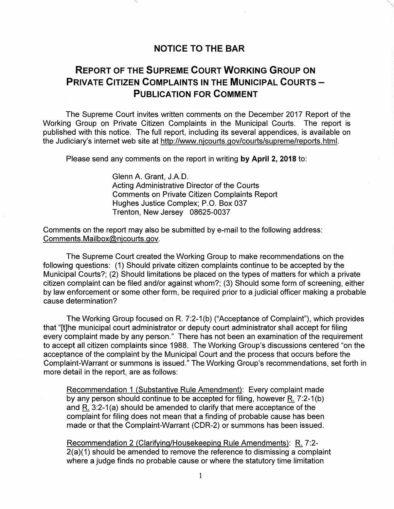## **NOTICE TO THE BAR**

## **REPORT OF THE SUPREME COURT WORKING GROUP ON PRIVATE CITIZEN COMPLAINTS IN THE MUNICIPAL COURTS -PUBLICATION FOR COMMENT**

The Supreme Court invites written comments on the December 2017 Report of the Working Group on Private Citizen Complaints in the Municipal Courts. The report is published with this notice. The full report, including its several appendices, is available on the Judiciary's internet web site at http://www.njcourts.gov/courts/supreme/reports.html.

Please send any comments on the report in writing **by April 2, 2018** to:

Glenn A. Grant, J.A.D. Acting Administrative Director of the Courts Comments on Private Citizen Complaints Report Hughes Justice Complex; P.O. Box 037 Trenton, New Jersey 08625-0037

Comments on the report may also be submitted by e-mail to the following address: Comments.Mailbox@njcourts.gov.

The Supreme Court created the Working Group to make recommendations on the following questions: (1) Should private citizen complaints continue to be accepted by the Municipal Courts?; (2) Should limitations be placed on the types of matters for which a private citizen complaint can be filed and/or against whom?; (3) Should some form of screening, either by law enforcement or some other form, be required prior to a judicial officer making a probable cause determination?

The Working Group focused on R. 7:2-1 (b) ("Acceptance of Complaint"), which provides that "[t]he municipal court administrator or deputy court administrator shall accept for filing every complaint made by any person." There has not been an examination of the requirement to accept all citizen complaints since 1988. The Working Group's discussions centered "on the acceptance of the complaint by the Municipal Court and the process that occurs before the Complaint-Warrant or summons is issued." The Working Group's recommendations, set forth in more detail in the report, are as follows:

Recommendation 1 {Substantive Rule Amendment): Every complaint made by any person should continue to be accepted for filing, however R. 7:2-1(b) and R. 3:2-1(a) should be amended to clarify that mere acceptance of the complaint for filing does not mean that a finding of probable cause has been made or that the Complaint-Warrant (CDR-2) or summons has been issued.

Recommendation 2 {Clarifying/Housekeeping Rule Amendments): R. 7:2- 2(a)(1) should be amended to remove the reference to dismissing a complaint where a judge finds no probable cause or where the statutory time limitation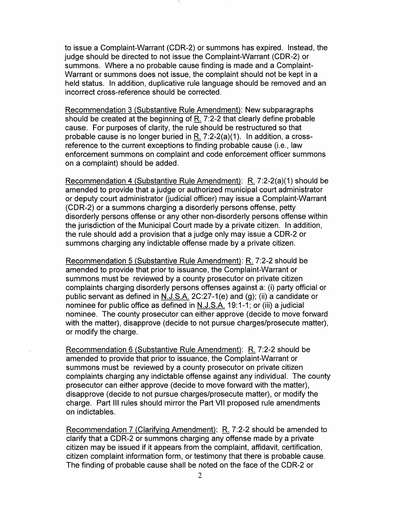to issue a Complaint-Warrant (CDR-2) or summons has expired. Instead, the judge should be directed to not issue the Complaint-Warrant (CDR-2) or summons. Where a no probable cause finding is made and a Complaint-Warrant or summons does not issue, the complaint should not be kept in a held status. In addition, duplicative rule language should be removed and an incorrect cross-reference should be corrected.

Recommendation 3 (Substantive Rule Amendment): New subparagraphs should be created at the beginning of  $\underline{R}$ . 7:2-2 that clearly define probable cause. For purposes of clarity, the rule should be restructured so that probable cause is no longer buried in R. 7:2-2(a)(1 ). In addition, a crossreference to the current exceptions to finding probable cause (i.e., law enforcement summons on complaint and code enforcement officer summons on a complaint) should be added.

Recommendation 4 (Substantive Rule Amendment): R. 7:2-2(a)(1) should be amended to provide that a judge or authorized municipal court administrator or deputy court administrator (judicial officer) may issue a Complaint-Warrant (CDR-2) or a summons charging a disorderly persons offense, petty disorderly persons offense or any other non-disorderly persons offense within the jurisdiction of the Municipal Court made by a private citizen. In addition, the rule should add a provision that a judge only may issue a CDR-2 or summons charging any indictable offense made by a private citizen.

Recommendation 5 (Substantive Rule Amendment): R. 7:2-2 should be amended to provide that prior to issuance, the Complaint-Warrant or summons must be reviewed by a county prosecutor on private citizen complaints charging disorderly persons offenses against a: (i) party official or public servant as defined in N.J.S.A. 2C:27-1(e) and (g); (ii) a candidate or nominee for public office as defined in N.J.S.A. 19:1-1; or (iii) a judicial nominee. The county prosecutor can either approve ( decide to move forward with the matter), disapprove (decide to not pursue charges/prosecute matter), or modify the charge.

Recommendation 6 (Substantive Rule Amendment): R. 7:2-2 should be amended to provide that prior to issuance, the Complaint-Warrant or summons must be reviewed by a county prosecutor on private citizen complaints charging any indictable offense against any individual. The county prosecutor can either approve ( decide to move forward with the matter), disapprove (decide to not pursue charges/prosecute matter), or modify the charge. Part Ill rules should mirror the Part VII proposed rule amendments on indictables.

Recommendation 7 (Clarifying Amendment): R. 7:2-2 should be amended to clarify that a CDR-2 or summons charging any offense made by a private citizen may be issued if it appears from the complaint, affidavit, certification, citizen complaint information form, or testimony that there is probable cause. The finding of probable cause shall be noted on the face of the CDR-2 or